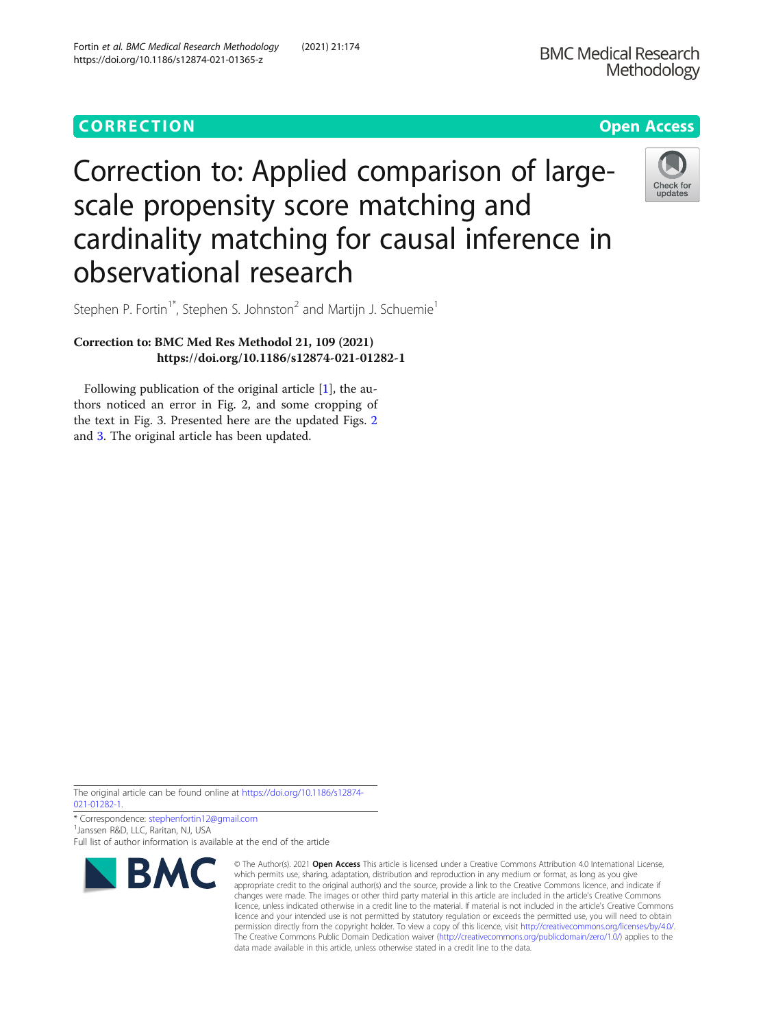# CORR EC TION Open [Access](http://crossmark.crossref.org/dialog/?doi=10.1186/s12874-021-01365-z&domain=pdf)

Check for updates

# Correction to: Applied comparison of largescale propensity score matching and cardinality matching for causal inference in observational research

Stephen P. Fortin<sup>1\*</sup>, Stephen S. Johnston<sup>2</sup> and Martijn J. Schuemie<sup>1</sup>

## Correction to: BMC Med Res Methodol 21, 109 (2021) https://doi.org/10.1186/s12874-021-01282-1

Following publication of the original article [\[1](#page-2-0)], the authors noticed an error in Fig. 2, and some cropping of the text in Fig. 3. Presented here are the updated Figs. [2](#page-1-0) and [3.](#page-2-0) The original article has been updated.

The original article can be found online at [https://doi.org/10.1186/s12874-](https://doi.org/10.1186/s12874-021-01282-1) [021-01282-1](https://doi.org/10.1186/s12874-021-01282-1).

\* Correspondence: [stephenfortin12@gmail.com](mailto:stephenfortin12@gmail.com) <sup>1</sup> <sup>1</sup> Janssen R&D, LLC, Raritan, NJ, USA

Full list of author information is available at the end of the article



<sup>©</sup> The Author(s), 2021 **Open Access** This article is licensed under a Creative Commons Attribution 4.0 International License, which permits use, sharing, adaptation, distribution and reproduction in any medium or format, as long as you give appropriate credit to the original author(s) and the source, provide a link to the Creative Commons licence, and indicate if changes were made. The images or other third party material in this article are included in the article's Creative Commons licence, unless indicated otherwise in a credit line to the material. If material is not included in the article's Creative Commons licence and your intended use is not permitted by statutory regulation or exceeds the permitted use, you will need to obtain permission directly from the copyright holder. To view a copy of this licence, visit [http://creativecommons.org/licenses/by/4.0/.](http://creativecommons.org/licenses/by/4.0/) The Creative Commons Public Domain Dedication waiver [\(http://creativecommons.org/publicdomain/zero/1.0/](http://creativecommons.org/publicdomain/zero/1.0/)) applies to the data made available in this article, unless otherwise stated in a credit line to the data.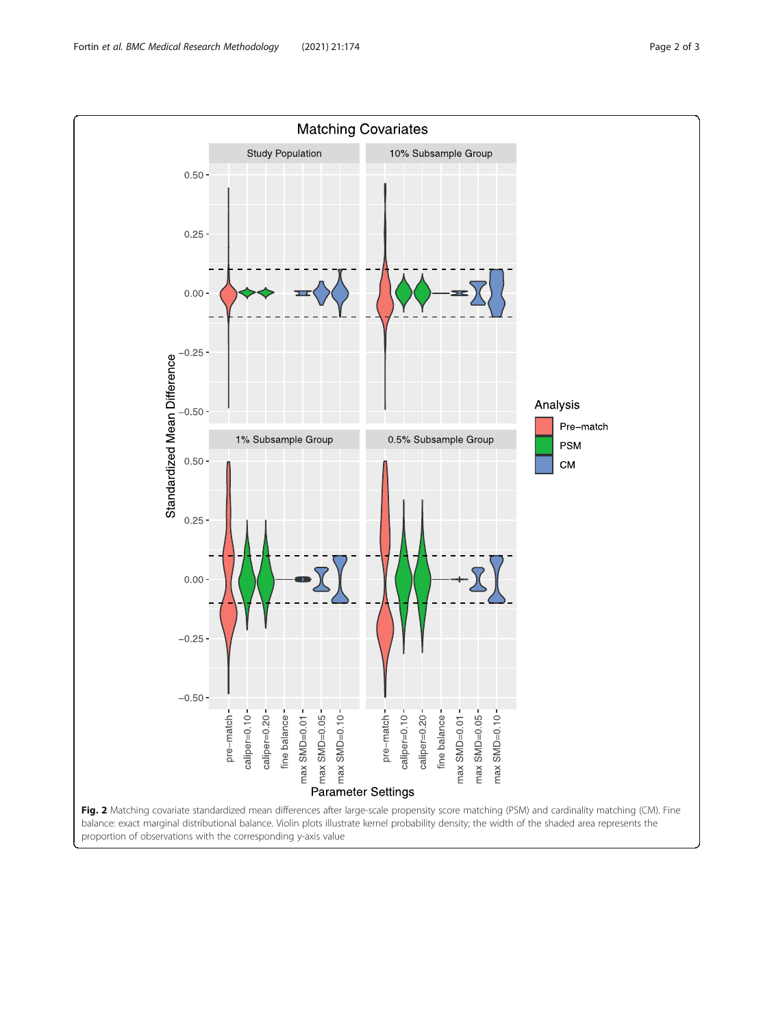<span id="page-1-0"></span>